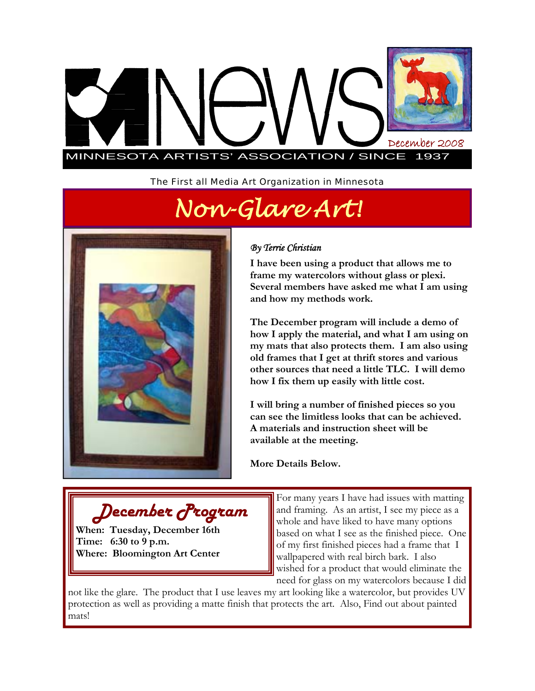

*The First all Media Art Organization in Minnesota* 

*Non-Glare Art!* 



*December Program* 

**When: Tuesday, December 16th** 

**Where: Bloomington Art Center** 

**Time: 6:30 to 9 p.m.** 

### *By Terrie Christian*

**I have been using a product that allows me to frame my watercolors without glass or plexi. Several members have asked me what I am using and how my methods work.** 

**The December program will include a demo of how I apply the material, and what I am using on my mats that also protects them. I am also using old frames that I get at thrift stores and various other sources that need a little TLC. I will demo how I fix them up easily with little cost.** 

**I will bring a number of finished pieces so you can see the limitless looks that can be achieved. A materials and instruction sheet will be available at the meeting.** 

**More Details Below.** 

For many years I have had issues with matting and framing. As an artist, I see my piece as a whole and have liked to have many options based on what I see as the finished piece. One of my first finished pieces had a frame that I wallpapered with real birch bark. I also wished for a product that would eliminate the need for glass on my watercolors because I did

not like the glare. The product that I use leaves my art looking like a watercolor, but provides UV protection as well as providing a matte finish that protects the art. Also, Find out about painted mats!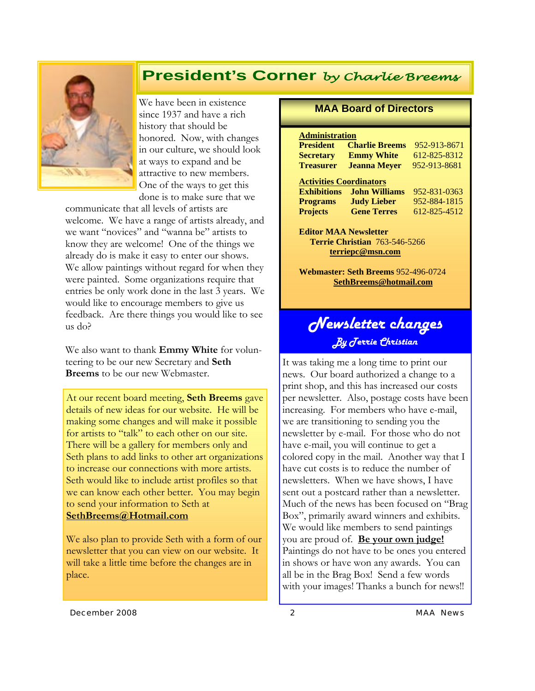## **President's Corner** *by Charlie Breems*



We have been in existence since 1937 and have a rich history that should be honored. Now, with changes in our culture, we should look at ways to expand and be attractive to new members. One of the ways to get this done is to make sure that we

communicate that all levels of artists are welcome. We have a range of artists already, and we want "novices" and "wanna be" artists to know they are welcome! One of the things we already do is make it easy to enter our shows. We allow paintings without regard for when they were painted. Some organizations require that entries be only work done in the last 3 years. We would like to encourage members to give us feedback. Are there things you would like to see us do?

We also want to thank **Emmy White** for volunteering to be our new Secretary and **Seth Breems** to be our new Webmaster.

At our recent board meeting, **Seth Breems** gave details of new ideas for our website. He will be making some changes and will make it possible for artists to "talk" to each other on our site. There will be a gallery for members only and Seth plans to add links to other art organizations to increase our connections with more artists. Seth would like to include artist profiles so that we can know each other better. You may begin to send your information to Seth at **SethBreems@Hotmail.com** 

We also plan to provide Seth with a form of our newsletter that you can view on our website. It will take a little time before the changes are in place.

#### **MAA Board of Directors**

| <b>President</b>               | <b>Charlie Breems</b> | 952-913-8671 |  |
|--------------------------------|-----------------------|--------------|--|
| <b>Secretary</b>               | <b>Emmy White</b>     | 612-825-8312 |  |
| <b>Treasurer</b>               | <b>Jeanna Meyer</b>   | 952-913-8681 |  |
| <b>Activities Coordinators</b> |                       |              |  |
| <b>Exhibitions</b>             | <b>John Williams</b>  | 952-831-0363 |  |
| <b>Programs</b>                | <b>Judy Lieber</b>    | 952-884-1815 |  |
| <b>Projects</b>                | <b>Gene Terres</b>    | 612-825-4512 |  |

**Editor MAA Newsletter Terrie Christian** 763-546-5266 **terriepc@msn.com**

**Webmaster: Seth Breems** 952-496-0724 **SethBreems@hotmail.com**

# *Newsletter changes By Terrie Christian*

It was taking me a long time to print our news. Our board authorized a change to a print shop, and this has increased our costs per newsletter. Also, postage costs have been increasing. For members who have e-mail, we are transitioning to sending you the newsletter by e-mail. For those who do not have e-mail, you will continue to get a colored copy in the mail. Another way that I have cut costs is to reduce the number of newsletters. When we have shows, I have sent out a postcard rather than a newsletter. Much of the news has been focused on "Brag Box", primarily award winners and exhibits. We would like members to send paintings you are proud of. **Be your own judge!** Paintings do not have to be ones you entered in shows or have won any awards. You can all be in the Brag Box! Send a few words with your images! Thanks a bunch for news!!

*December 2008 2 MAA News*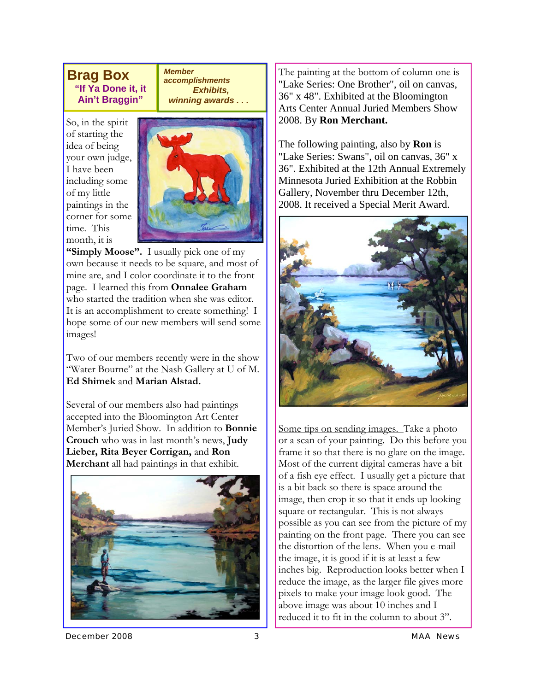### **Brag Box "If Ya Done it, it Ain't Braggin"**

*Member accomplishments Exhibits, winning awards . . .* 

So, in the spirit of starting the idea of being your own judge, I have been including some of my little paintings in the corner for some time. This month, it is



**"Simply Moose".** I usually pick one of my own because it needs to be square, and most of mine are, and I color coordinate it to the front page. I learned this from **Onnalee Graham**  who started the tradition when she was editor. It is an accomplishment to create something! I hope some of our new members will send some images!

Two of our members recently were in the show "Water Bourne" at the Nash Gallery at U of M. **Ed Shimek** and **Marian Alstad.** 

Several of our members also had paintings accepted into the Bloomington Art Center Member's Juried Show. In addition to **Bonnie Crouch** who was in last month's news, **Judy Lieber, Rita Beyer Corrigan,** and **Ron Merchant** all had paintings in that exhibit.



The painting at the bottom of column one is "Lake Series: One Brother", oil on canvas, 36" x 48". Exhibited at the Bloomington Arts Center Annual Juried Members Show 2008. By **Ron Merchant.** 

The following painting, also by **Ron** is "Lake Series: Swans", oil on canvas, 36" x 36". Exhibited at the 12th Annual Extremely Minnesota Juried Exhibition at the Robbin Gallery, November thru December 12th, 2008. It received a Special Merit Award.



Some tips on sending images. Take a photo or a scan of your painting. Do this before you frame it so that there is no glare on the image. Most of the current digital cameras have a bit of a fish eye effect. I usually get a picture that is a bit back so there is space around the image, then crop it so that it ends up looking square or rectangular. This is not always possible as you can see from the picture of my painting on the front page. There you can see the distortion of the lens. When you e-mail the image, it is good if it is at least a few inches big. Reproduction looks better when I reduce the image, as the larger file gives more pixels to make your image look good. The above image was about 10 inches and I reduced it to fit in the column to about 3".

*December 2008 3 MAA News*